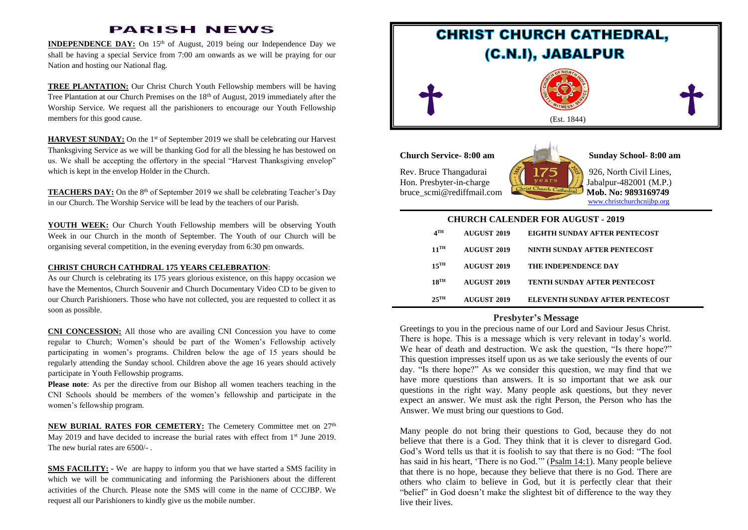## **PARISH NEWS**

**INDEPENDENCE DAY:** On 15<sup>th</sup> of August, 2019 being our Independence Day we shall be having a special Service from 7:00 am onwards as we will be praying for our Nation and hosting our National flag.

**TREE PLANTATION:** Our Christ Church Youth Fellowship members will be having Tree Plantation at our Church Premises on the  $18<sup>th</sup>$  of August, 2019 immediately after the Worship Service. We request all the parishioners to encourage our Youth Fellowship members for this good cause.

**HARVEST SUNDAY:** On the 1<sup>st</sup> of September 2019 we shall be celebrating our Harvest Thanksgiving Service as we will be thanking God for all the blessing he has bestowed on us. We shall be accepting the offertory in the special "Harvest Thanksgiving envelop" which is kept in the envelop Holder in the Church.

**TEACHERS DAY:** On the 8<sup>th</sup> of September 2019 we shall be celebrating Teacher's Day in our Church. The Worship Service will be lead by the teachers of our Parish.

**YOUTH WEEK:** Our Church Youth Fellowship members will be observing Youth Week in our Church in the month of September. The Youth of our Church will be organising several competition, in the evening everyday from 6:30 pm onwards.

#### **CHRIST CHURCH CATHDRAL 175 YEARS CELEBRATION**:

As our Church is celebrating its 175 years glorious existence, on this happy occasion we have the Mementos, Church Souvenir and Church Documentary Video CD to be given to our Church Parishioners. Those who have not collected, you are requested to collect it as soon as possible.

**CNI CONCESSION:** All those who are availing CNI Concession you have to come regular to Church; Women's should be part of the Women's Fellowship actively participating in women's programs. Children below the age of 15 years should be regularly attending the Sunday school. Children above the age 16 years should actively participate in Youth Fellowship programs.

**Please note**: As per the directive from our Bishop all women teachers teaching in the CNI Schools should be members of the women's fellowship and participate in the women's fellowship program.

**NEW BURIAL RATES FOR CEMETERY:** The Cemetery Committee met on 27<sup>th</sup> May 2019 and have decided to increase the burial rates with effect from  $1<sup>st</sup>$  June 2019. The new burial rates are 6500/- .

**SMS FACILITY:** - We are happy to inform you that we have started a SMS facility in which we will be communicating and informing the Parishioners about the different activities of the Church. Please note the SMS will come in the name of CCCJBP. We request all our Parishioners to kindly give us the mobile number.



| CHUNCH CALENDEN FON AUGUST - 2019 |                    |             |                                 |
|-----------------------------------|--------------------|-------------|---------------------------------|
|                                   | $4^{\text{TH}}$    | AUGUST 2019 | EIGHTH SUNDAY AFTER PENTECOST   |
|                                   | $11$ <sup>TH</sup> | AUGUST 2019 | NINTH SUNDAY AFTER PENTECOST    |
|                                   | $15$ <sup>TH</sup> | AUGUST 2019 | <b>THE INDEPENDENCE DAY</b>     |
|                                   | $18$ <sup>TH</sup> | AUGUST 2019 | TENTH SUNDAY AFTER PENTECOST    |
|                                   | $25$ <sup>TH</sup> | AUGUST 2019 | ELEVENTH SUNDAY AFTER PENTECOST |

#### **Presbyter's Message**

Greetings to you in the precious name of our Lord and Saviour Jesus Christ. There is hope. This is a message which is very relevant in today's world. We hear of death and destruction. We ask the question, "Is there hope?" This question impresses itself upon us as we take seriously the events of our day. "Is there hope?" As we consider this question, we may find that we have more questions than answers. It is so important that we ask our questions in the right way. Many people ask questions, but they never expect an answer. We must ask the right Person, the Person who has the Answer. We must bring our questions to God.

Many people do not bring their questions to God, because they do not believe that there is a God. They think that it is clever to disregard God. God's Word tells us that it is foolish to say that there is no God: "The fool has said in his heart, 'There is no God.'" [\(Psalm 14:1\)](https://biblia.com/bible/esv/Ps%2014.1). Many people believe that there is no hope, because they believe that there is no God. There are others who claim to believe in God, but it is perfectly clear that their "belief" in God doesn't make the slightest bit of difference to the way they live their lives.